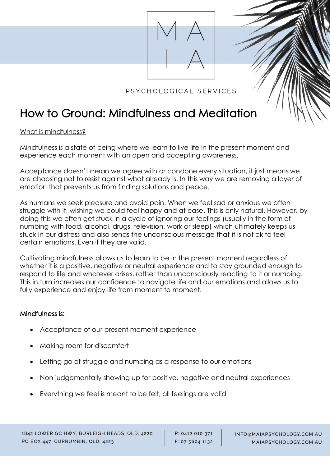

## PSYCHOLOGICAL SERVICES

# How to Ground: Mindfulness and Meditation

What is mindfulness?

Mindfulness is a state of being where we learn to live life in the present moment and experience each moment with an open and accepting awareness.

Acceptance doesn't mean we agree with or condone every situation, it just means we are choosing not to resist against what already is. In this way we are removing a layer of emotion that prevents us from finding solutions and peace.

As humans we seek pleasure and avoid pain. When we feel sad or anxious we often struggle with it, wishing we could feel happy and at ease. This is only natural. However, by doing this we often get stuck in a cycle of ignoring our feelings (usually in the form of numbing with food, alcohol, drugs, television, work or sleep) which ultimately keeps us stuck in our distress and also sends the unconscious message that it is not ok to feel certain emotions. Even if they are valid.

Cultivating mindfulness allows us to learn to be in the present moment regardless of whether it is a positive, negative or neutral experience and to stay grounded enough to respond to life and whatever arises, rather than unconsciously reacting to it or numbing. This in turn increases our confidence to navigate life and our emotions and allows us to fully experience and enjoy life from moment to moment.

#### Mindfulness is:

- Acceptance of our present moment experience
- Making room for discomfort
- Letting go of struggle and numbing as a response to our emotions
- Non judgementally showing up for positive, negative and neutral experiences
- Everything we feel is meant to be felt, all feelings are valid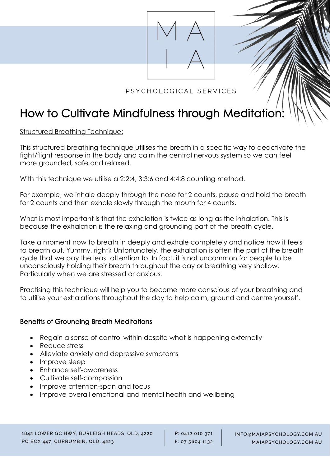

## PSYCHOLOGICAL SERVICES

# How to Cultivate Mindfulness through Meditation:

Structured Breathing Technique:

This structured breathing technique utilises the breath in a specific way to deactivate the fight/flight response in the body and calm the central nervous system so we can feel more grounded, safe and relaxed.

With this technique we utilise a 2:2:4, 3:3:6 and 4:4:8 counting method.

For example, we inhale deeply through the nose for 2 counts, pause and hold the breath for 2 counts and then exhale slowly through the mouth for 4 counts.

What is most important is that the exhalation is twice as long as the inhalation. This is because the exhalation is the relaxing and grounding part of the breath cycle.

Take a moment now to breath in deeply and exhale completely and notice how it feels to breath out. Yummy, right? Unfortunately, the exhalation is often the part of the breath cycle that we pay the least attention to. In fact, it is not uncommon for people to be unconsciously holding their breath throughout the day or breathing very shallow. Particularly when we are stressed or anxious.

Practising this technique will help you to become more conscious of your breathing and to utilise your exhalations throughout the day to help calm, ground and centre yourself.

### Benefits of Grounding Breath Meditations

- Regain a sense of control within despite what is happening externally
- Reduce stress
- Alleviate anxiety and depressive symptoms
- Improve sleep
- Enhance self-awareness
- Cultivate self-compassion
- Improve attention-span and focus
- Improve overall emotional and mental health and wellbeing

P: 0412 010 371 F: 07 5604 1132 INFO@MAIAPSYCHOLOGY.COM.AU MAIAPSYCHOLOGY.COM.AU